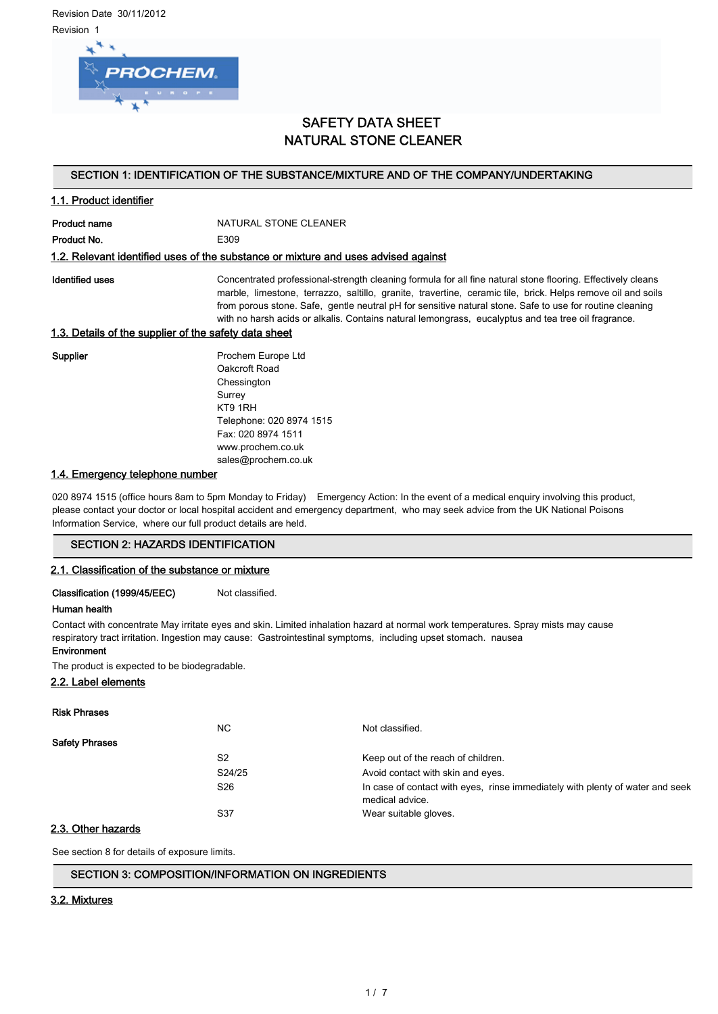Revision Date 30/11/2012 Revision 1



# SAFETY DATA SHEET NATURAL STONE CLEANER

## SECTION 1: IDENTIFICATION OF THE SUBSTANCE/MIXTURE AND OF THE COMPANY/UNDERTAKING

## 1.1. Product identifier

Product name NATURAL STONE CLEANER Product No. 66 and 1999 E309

### 1.2. Relevant identified uses of the substance or mixture and uses advised against

Identified uses **Concentrated professional-strength cleaning formula for all fine natural stone flooring. Effectively cleans** marble, limestone, terrazzo, saltillo, granite, travertine, ceramic tile, brick. Helps remove oil and soils from porous stone. Safe, gentle neutral pH for sensitive natural stone. Safe to use for routine cleaning with no harsh acids or alkalis. Contains natural lemongrass, eucalyptus and tea tree oil fragrance.

## 1.3. Details of the supplier of the safety data sheet

Supplier **Prochem Europe Ltd** Oakcroft Road **Chessington** Surrey KT9 1RH Telephone: 020 8974 1515 Fax: 020 8974 1511 www.prochem.co.uk sales@prochem.co.uk

## 1.4. Emergency telephone number

020 8974 1515 (office hours 8am to 5pm Monday to Friday) Emergency Action: In the event of a medical enquiry involving this product, please contact your doctor or local hospital accident and emergency department, who may seek advice from the UK National Poisons Information Service, where our full product details are held.

## SECTION 2: HAZARDS IDENTIFICATION

## 2.1. Classification of the substance or mixture

Classification (1999/45/EEC) Not classified.

## Human health

Contact with concentrate May irritate eyes and skin. Limited inhalation hazard at normal work temperatures. Spray mists may cause respiratory tract irritation. Ingestion may cause: Gastrointestinal symptoms, including upset stomach. nausea

## Environment

The product is expected to be biodegradable.

## 2.2. Label elements

Risk Phrases

| .                     |                 |                                                                                                  |
|-----------------------|-----------------|--------------------------------------------------------------------------------------------------|
|                       | NC.             | Not classified.                                                                                  |
| <b>Safety Phrases</b> |                 |                                                                                                  |
|                       | S <sub>2</sub>  | Keep out of the reach of children.                                                               |
|                       | S24/25          | Avoid contact with skin and eyes.                                                                |
|                       | S <sub>26</sub> | In case of contact with eyes, rinse immediately with plenty of water and seek<br>medical advice. |
|                       | S37             | Wear suitable gloves.                                                                            |
| ------                |                 |                                                                                                  |

## 2.3. Other hazards

See section 8 for details of exposure limits.

## SECTION 3: COMPOSITION/INFORMATION ON INGREDIENTS

## 3.2. Mixtures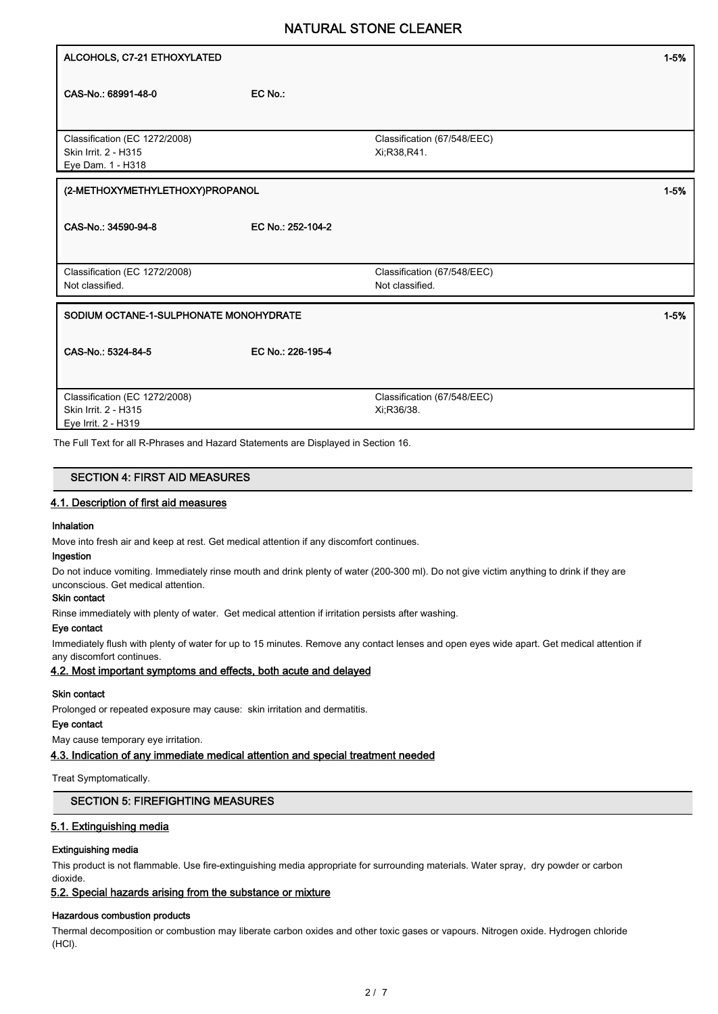| ALCOHOLS, C7-21 ETHOXYLATED                        |                   |                             | $1 - 5%$ |
|----------------------------------------------------|-------------------|-----------------------------|----------|
|                                                    |                   |                             |          |
| CAS-No.: 68991-48-0                                | EC No.:           |                             |          |
|                                                    |                   |                             |          |
|                                                    |                   |                             |          |
| Classification (EC 1272/2008)                      |                   | Classification (67/548/EEC) |          |
| Skin Irrit. 2 - H315                               |                   | Xi;R38,R41.                 |          |
| Eye Dam. 1 - H318                                  |                   |                             |          |
| (2-METHOXYMETHYLETHOXY)PROPANOL                    |                   |                             | $1 - 5%$ |
|                                                    |                   |                             |          |
| CAS-No.: 34590-94-8                                | EC No.: 252-104-2 |                             |          |
|                                                    |                   |                             |          |
|                                                    |                   |                             |          |
| Classification (EC 1272/2008)                      |                   | Classification (67/548/EEC) |          |
| Not classified.                                    |                   | Not classified.             |          |
|                                                    |                   |                             |          |
| SODIUM OCTANE-1-SULPHONATE MONOHYDRATE<br>$1 - 5%$ |                   |                             |          |
|                                                    |                   |                             |          |
| CAS-No.: 5324-84-5                                 | EC No.: 226-195-4 |                             |          |
|                                                    |                   |                             |          |
|                                                    |                   |                             |          |
| Classification (EC 1272/2008)                      |                   | Classification (67/548/EEC) |          |
| Skin Irrit. 2 - H315                               |                   | Xi:R36/38.                  |          |
| Eye Irrit. 2 - H319                                |                   |                             |          |

The Full Text for all R-Phrases and Hazard Statements are Displayed in Section 16.

| <b>SECTION 4: FIRST AID MEASURES</b>   |  |
|----------------------------------------|--|
| 4.1. Description of first aid measures |  |

## Inhalation

Move into fresh air and keep at rest. Get medical attention if any discomfort continues.

### Ingestion

Do not induce vomiting. Immediately rinse mouth and drink plenty of water (200-300 ml). Do not give victim anything to drink if they are unconscious. Get medical attention.

# Skin contact

Rinse immediately with plenty of water. Get medical attention if irritation persists after washing.

#### Eye contact

Immediately flush with plenty of water for up to 15 minutes. Remove any contact lenses and open eyes wide apart. Get medical attention if any discomfort continues.

### 4.2. Most important symptoms and effects, both acute and delayed

#### Skin contact

Prolonged or repeated exposure may cause: skin irritation and dermatitis.

### Eye contact

May cause temporary eye irritation.

4.3. Indication of any immediate medical attention and special treatment needed

#### Treat Symptomatically.

## SECTION 5: FIREFIGHTING MEASURES

## 5.1. Extinguishing media

## Extinguishing media

This product is not flammable. Use fire-extinguishing media appropriate for surrounding materials. Water spray, dry powder or carbon dioxide.

## 5.2. Special hazards arising from the substance or mixture

#### Hazardous combustion products

Thermal decomposition or combustion may liberate carbon oxides and other toxic gases or vapours. Nitrogen oxide. Hydrogen chloride (HCl).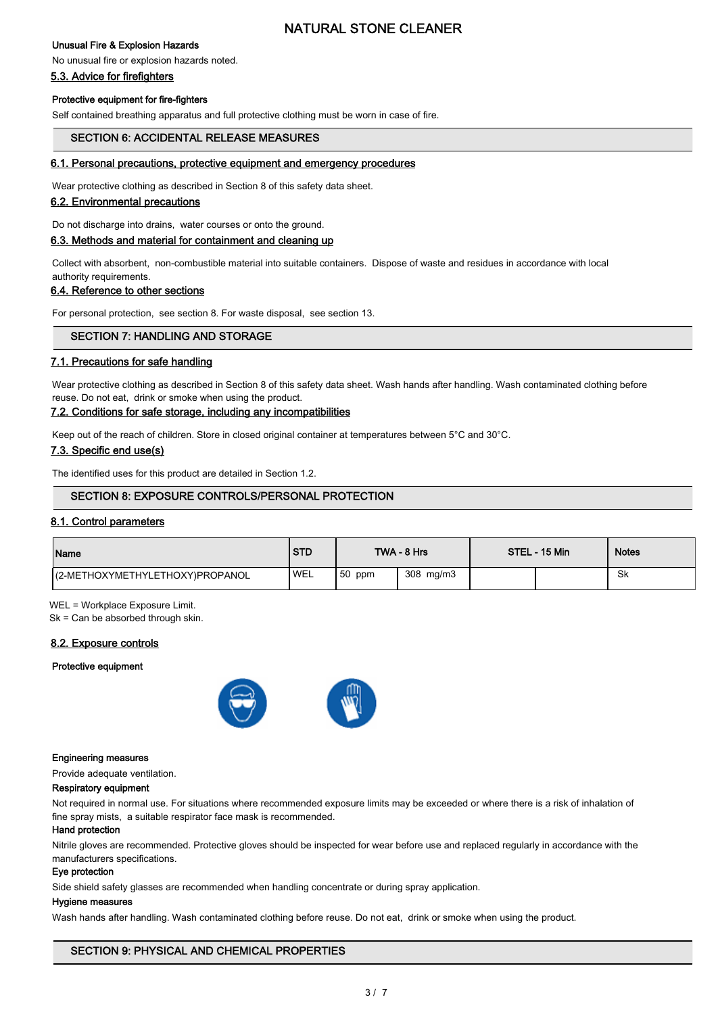## Unusual Fire & Explosion Hazards

No unusual fire or explosion hazards noted.

## 5.3. Advice for firefighters

## Protective equipment for fire-fighters

Self contained breathing apparatus and full protective clothing must be worn in case of fire.

## SECTION 6: ACCIDENTAL RELEASE MEASURES

## 6.1. Personal precautions, protective equipment and emergency procedures

Wear protective clothing as described in Section 8 of this safety data sheet.

## 6.2. Environmental precautions

Do not discharge into drains, water courses or onto the ground.

## 6.3. Methods and material for containment and cleaning up

Collect with absorbent, non-combustible material into suitable containers. Dispose of waste and residues in accordance with local authority requirements.

## 6.4. Reference to other sections

For personal protection, see section 8. For waste disposal, see section 13.

## SECTION 7: HANDLING AND STORAGE

## 7.1. Precautions for safe handling

Wear protective clothing as described in Section 8 of this safety data sheet. Wash hands after handling. Wash contaminated clothing before reuse. Do not eat, drink or smoke when using the product.

## 7.2. Conditions for safe storage, including any incompatibilities

Keep out of the reach of children. Store in closed original container at temperatures between 5°C and 30°C.

## 7.3. Specific end use(s)

The identified uses for this product are detailed in Section 1.2.

## SECTION 8: EXPOSURE CONTROLS/PERSONAL PROTECTION

## 8.1. Control parameters

| Name                             | <b>STD</b> |          | TWA - 8 Hrs | STEL - 15 Min | <b>Notes</b> |
|----------------------------------|------------|----------|-------------|---------------|--------------|
| I(2-METHOXYMETHYLETHOXY)PROPANOL | 'WEL       | $50$ ppm | 308 mg/m3   |               | .Sk          |

WEL = Workplace Exposure Limit.

Sk = Can be absorbed through skin.

## 8.2. Exposure controls

#### Protective equipment



#### Engineering measures

Provide adequate ventilation.

## Respiratory equipment

Not required in normal use. For situations where recommended exposure limits may be exceeded or where there is a risk of inhalation of fine spray mists, a suitable respirator face mask is recommended.

#### Hand protection

Nitrile gloves are recommended. Protective gloves should be inspected for wear before use and replaced regularly in accordance with the manufacturers specifications.

## Eye protection

Side shield safety glasses are recommended when handling concentrate or during spray application.

## Hygiene measures

Wash hands after handling. Wash contaminated clothing before reuse. Do not eat, drink or smoke when using the product.

## SECTION 9: PHYSICAL AND CHEMICAL PROPERTIES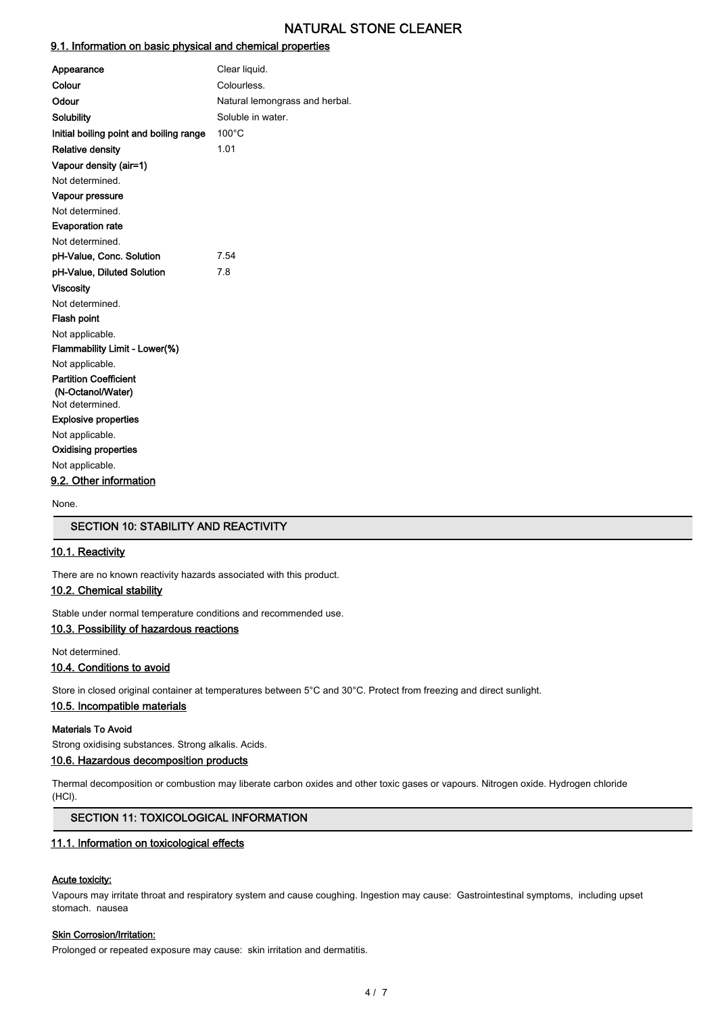## 9.1. Information on basic physical and chemical properties

| Appearance                              | Clear liquid.                  |
|-----------------------------------------|--------------------------------|
| Colour                                  | Colourless.                    |
| Odour                                   | Natural lemongrass and herbal. |
| Solubility                              | Soluble in water.              |
| Initial boiling point and boiling range | $100^{\circ}$ C                |
| <b>Relative density</b>                 | 1.01                           |
| Vapour density (air=1)                  |                                |
| Not determined.                         |                                |
| Vapour pressure                         |                                |
| Not determined.                         |                                |
| <b>Evaporation rate</b>                 |                                |
| Not determined.                         |                                |
| pH-Value, Conc. Solution                | 7.54                           |
| pH-Value, Diluted Solution              | 7.8                            |
| <b>Viscosity</b>                        |                                |
| Not determined.                         |                                |
| <b>Flash point</b>                      |                                |
| Not applicable.                         |                                |
| Flammability Limit - Lower(%)           |                                |
| Not applicable.                         |                                |
| <b>Partition Coefficient</b>            |                                |
| (N-Octanol/Water)                       |                                |
| Not determined.                         |                                |
| <b>Explosive properties</b>             |                                |
| Not applicable.                         |                                |
| <b>Oxidising properties</b>             |                                |
| Not applicable.                         |                                |
| 9.2. Other information                  |                                |

None.

## SECTION 10: STABILITY AND REACTIVITY

## 10.1. Reactivity

There are no known reactivity hazards associated with this product.

## 10.2. Chemical stability

Stable under normal temperature conditions and recommended use.

## 10.3. Possibility of hazardous reactions

Not determined.

## 10.4. Conditions to avoid

Store in closed original container at temperatures between 5°C and 30°C. Protect from freezing and direct sunlight.

### 10.5. Incompatible materials

#### Materials To Avoid

Strong oxidising substances. Strong alkalis. Acids.

## 10.6. Hazardous decomposition products

Thermal decomposition or combustion may liberate carbon oxides and other toxic gases or vapours. Nitrogen oxide. Hydrogen chloride (HCl).

## SECTION 11: TOXICOLOGICAL INFORMATION

## 11.1. Information on toxicological effects

## Acute toxicity:

Vapours may irritate throat and respiratory system and cause coughing. Ingestion may cause: Gastrointestinal symptoms, including upset stomach. nausea

## **Skin Corrosion/Irritation:**

Prolonged or repeated exposure may cause: skin irritation and dermatitis.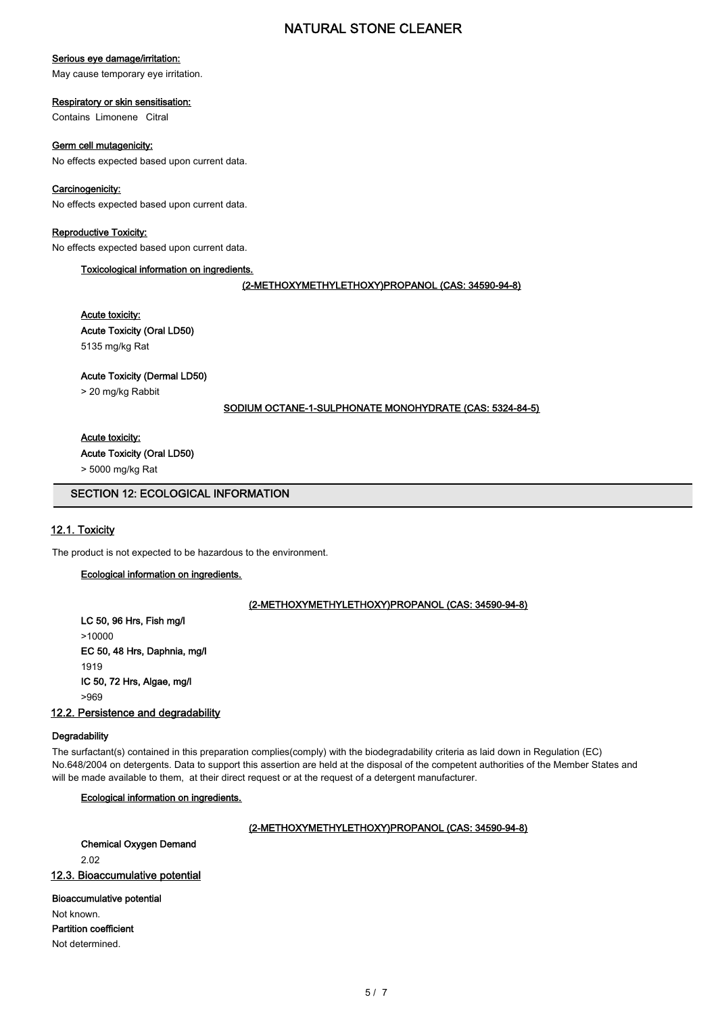## Serious eye damage/irritation:

May cause temporary eye irritation.

## Respiratory or skin sensitisation:

Contains Limonene Citral

## Germ cell mutagenicity:

No effects expected based upon current data.

## Carcinogenicity:

No effects expected based upon current data.

## Reproductive Toxicity:

No effects expected based upon current data.

## Toxicological information on ingredients.

(2-METHOXYMETHYLETHOXY)PROPANOL (CAS: 34590-94-8)

## Acute toxicity: Acute Toxicity (Oral LD50) 5135 mg/kg Rat

## Acute Toxicity (Dermal LD50)

> 20 mg/kg Rabbit

#### SODIUM OCTANE-1-SULPHONATE MONOHYDRATE (CAS: 5324-84-5)

## Acute toxicity:

Acute Toxicity (Oral LD50)

> 5000 mg/kg Rat

## SECTION 12: ECOLOGICAL INFORMATION

## 12.1. Toxicity

The product is not expected to be hazardous to the environment.

## Ecological information on ingredients.

## (2-METHOXYMETHYLETHOXY)PROPANOL (CAS: 34590-94-8)

LC 50, 96 Hrs, Fish mg/l >10000 EC 50, 48 Hrs, Daphnia, mg/l 1919 IC 50, 72 Hrs, Algae, mg/l >969

### 12.2. Persistence and degradability

#### **Degradability**

The surfactant(s) contained in this preparation complies(comply) with the biodegradability criteria as laid down in Regulation (EC) No.648/2004 on detergents. Data to support this assertion are held at the disposal of the competent authorities of the Member States and will be made available to them, at their direct request or at the request of a detergent manufacturer.

## Ecological information on ingredients.

## (2-METHOXYMETHYLETHOXY)PROPANOL (CAS: 34590-94-8)

Chemical Oxygen Demand

2.02

## 12.3. Bioaccumulative potential

#### Bioaccumulative potential

Not known. Partition coefficient

Not determined.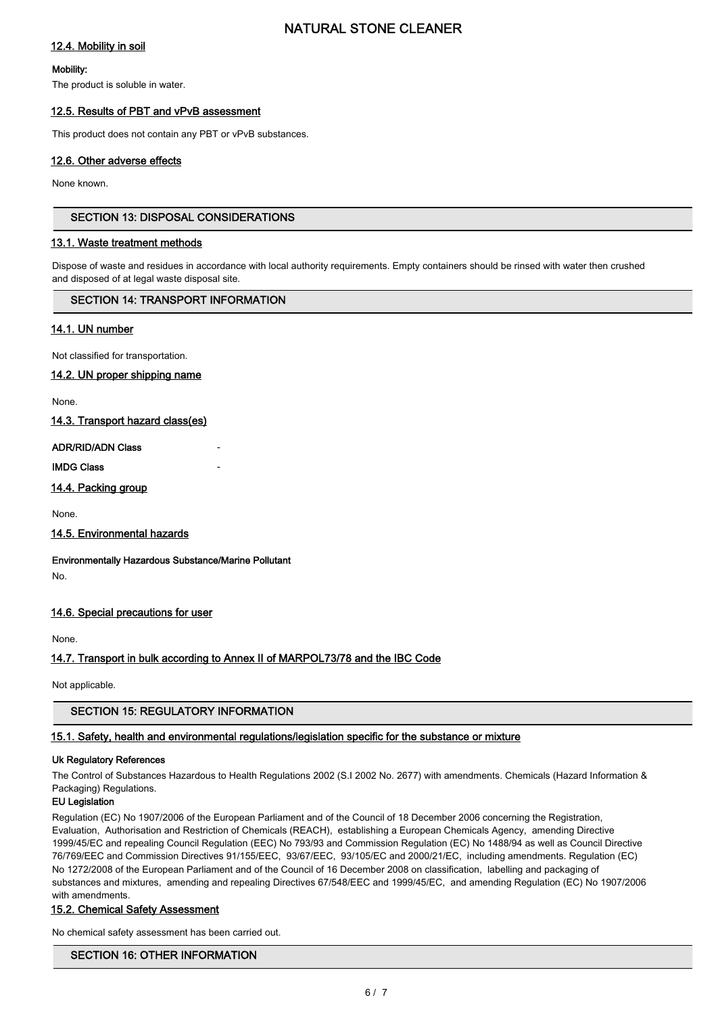## 12.4. Mobility in soil

### Mobility:

The product is soluble in water.

## 12.5. Results of PBT and vPvB assessment

This product does not contain any PBT or vPvB substances.

## 12.6. Other adverse effects

None known.

## SECTION 13: DISPOSAL CONSIDERATIONS

### 13.1. Waste treatment methods

Dispose of waste and residues in accordance with local authority requirements. Empty containers should be rinsed with water then crushed and disposed of at legal waste disposal site.

## SECTION 14: TRANSPORT INFORMATION

## 14.1. UN number

Not classified for transportation.

## 14.2. UN proper shipping name

None.

14.3. Transport hazard class(es)

#### ADR/RID/ADN Class -

**IMDG Class** 

## 14.4. Packing group

None.

## 14.5. Environmental hazards

Environmentally Hazardous Substance/Marine Pollutant No.

## 14.6. Special precautions for user

None.

## 14.7. Transport in bulk according to Annex II of MARPOL73/78 and the IBC Code

Not applicable.

## SECTION 15: REGULATORY INFORMATION

## 15.1. Safety, health and environmental regulations/legislation specific for the substance or mixture

### Uk Regulatory References

The Control of Substances Hazardous to Health Regulations 2002 (S.I 2002 No. 2677) with amendments. Chemicals (Hazard Information & Packaging) Regulations.

## EU Legislation

Regulation (EC) No 1907/2006 of the European Parliament and of the Council of 18 December 2006 concerning the Registration, Evaluation, Authorisation and Restriction of Chemicals (REACH), establishing a European Chemicals Agency, amending Directive 1999/45/EC and repealing Council Regulation (EEC) No 793/93 and Commission Regulation (EC) No 1488/94 as well as Council Directive 76/769/EEC and Commission Directives 91/155/EEC, 93/67/EEC, 93/105/EC and 2000/21/EC, including amendments. Regulation (EC) No 1272/2008 of the European Parliament and of the Council of 16 December 2008 on classification, labelling and packaging of substances and mixtures, amending and repealing Directives 67/548/EEC and 1999/45/EC, and amending Regulation (EC) No 1907/2006 with amendments.

## 15.2. Chemical Safety Assessment

No chemical safety assessment has been carried out.

## SECTION 16: OTHER INFORMATION